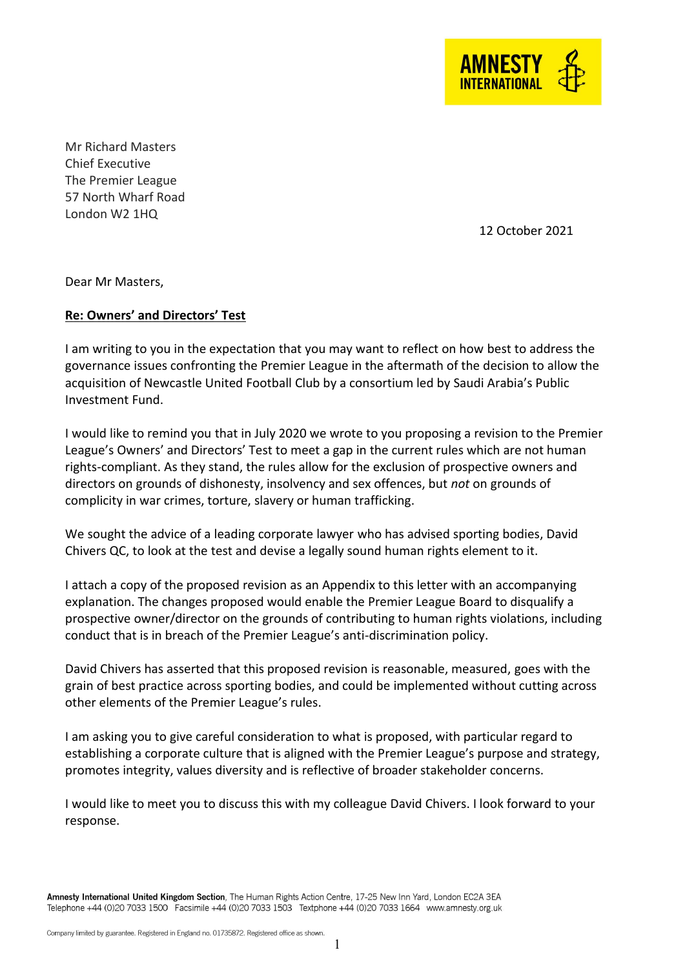

Mr Richard Masters Chief Executive The Premier League 57 North Wharf Road London W2 1HQ

12 October 2021

Dear Mr Masters,

# **Re: Owners' and Directors' Test**

I am writing to you in the expectation that you may want to reflect on how best to address the governance issues confronting the Premier League in the aftermath of the decision to allow the acquisition of Newcastle United Football Club by a consortium led by Saudi Arabia's Public Investment Fund.

I would like to remind you that in July 2020 we wrote to you proposing a revision to the Premier League's Owners' and Directors' Test to meet a gap in the current rules which are not human rights-compliant. As they stand, the rules allow for the exclusion of prospective owners and directors on grounds of dishonesty, insolvency and sex offences, but *not* on grounds of complicity in war crimes, torture, slavery or human trafficking.

We sought the advice of a leading corporate lawyer who has advised sporting bodies, David Chivers QC, to look at the test and devise a legally sound human rights element to it.

I attach a copy of the proposed revision as an Appendix to this letter with an accompanying explanation. The changes proposed would enable the Premier League Board to disqualify a prospective owner/director on the grounds of contributing to human rights violations, including conduct that is in breach of the Premier League's anti-discrimination policy.

David Chivers has asserted that this proposed revision is reasonable, measured, goes with the grain of best practice across sporting bodies, and could be implemented without cutting across other elements of the Premier League's rules.

I am asking you to give careful consideration to what is proposed, with particular regard to establishing a corporate culture that is aligned with the Premier League's purpose and strategy, promotes integrity, values diversity and is reflective of broader stakeholder concerns.

I would like to meet you to discuss this with my colleague David Chivers. I look forward to your response.

Amnesty International United Kingdom Section, The Human Rights Action Centre, 17-25 New Inn Yard, London EC2A 3EA Telephone +44 (0)20 7033 1500 Facsimile +44 (0)20 7033 1503 Textphone +44 (0)20 7033 1664 www.amnesty.org.uk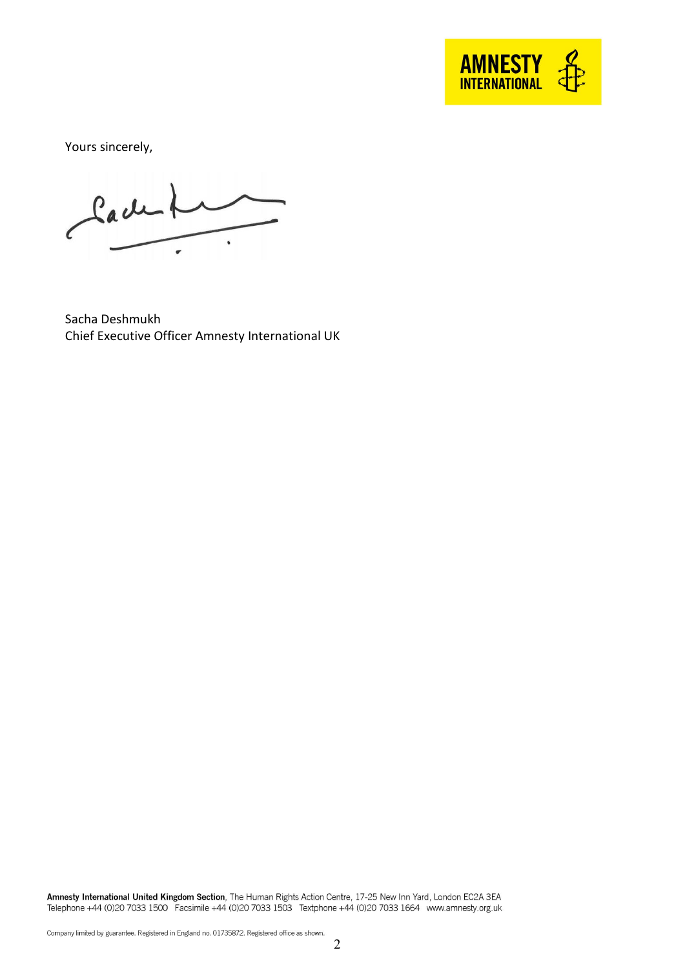

Yours sincerely,

Cachel

Sacha Deshmukh Chief Executive Officer Amnesty International UK

Amnesty International United Kingdom Section, The Human Rights Action Centre, 17-25 New Inn Yard, London EC2A 3EA<br>Telephone +44 (0)20 7033 1500 Facsimile +44 (0)20 7033 1503 Textphone +44 (0)20 7033 1664 www.amnesty.org.uk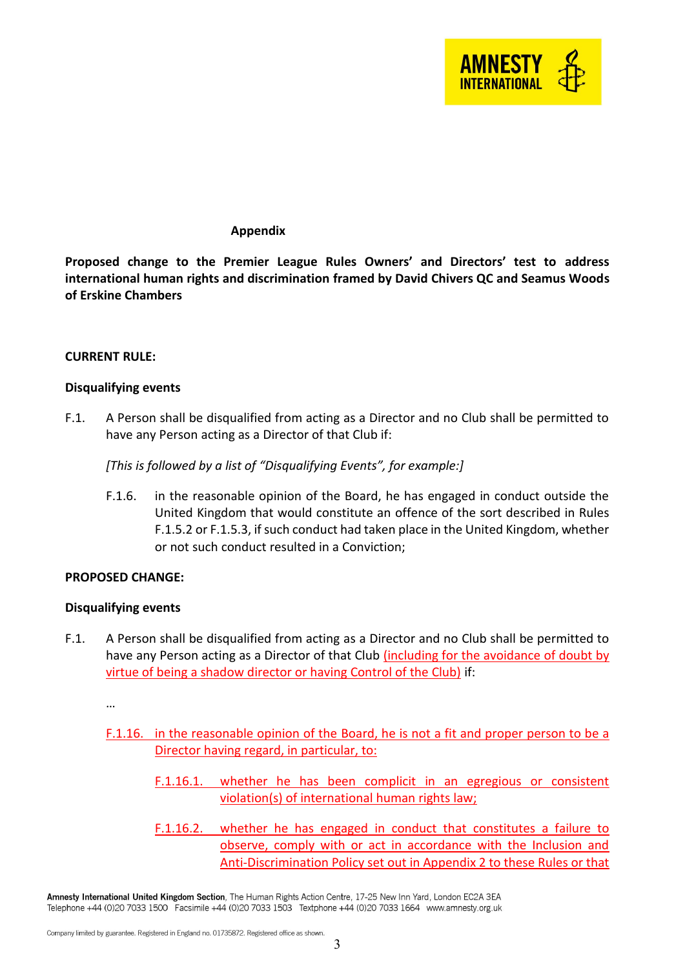

## **Appendix**

**Proposed change to the Premier League Rules Owners' and Directors' test to address international human rights and discrimination framed by David Chivers QC and Seamus Woods of Erskine Chambers**

### **CURRENT RULE:**

### **Disqualifying events**

F.1. A Person shall be disqualified from acting as a Director and no Club shall be permitted to have any Person acting as a Director of that Club if:

*[This is followed by a list of "Disqualifying Events", for example:]*

F.1.6. in the reasonable opinion of the Board, he has engaged in conduct outside the United Kingdom that would constitute an offence of the sort described in Rules F.1.5.2 or F.1.5.3, if such conduct had taken place in the United Kingdom, whether or not such conduct resulted in a Conviction;

### **PROPOSED CHANGE:**

### **Disqualifying events**

F.1. A Person shall be disqualified from acting as a Director and no Club shall be permitted to have any Person acting as a Director of that Club *(including for the avoidance of doubt by* virtue of being a shadow director or having Control of the Club) if:

…

- F.1.16. in the reasonable opinion of the Board, he is not a fit and proper person to be a Director having regard, in particular, to:
	- F.1.16.1. whether he has been complicit in an egregious or consistent violation(s) of international human rights law;
	- F.1.16.2. whether he has engaged in conduct that constitutes a failure to observe, comply with or act in accordance with the Inclusion and Anti-Discrimination Policy set out in Appendix 2 to these Rules or that

Amnesty International United Kingdom Section, The Human Rights Action Centre, 17-25 New Inn Yard, London EC2A 3EA Telephone +44 (0)20 7033 1500 Facsimile +44 (0)20 7033 1503 Textphone +44 (0)20 7033 1664 www.amnesty.org.uk

Company limited by guarantee. Registered in England no. 01735872. Registered office as shown.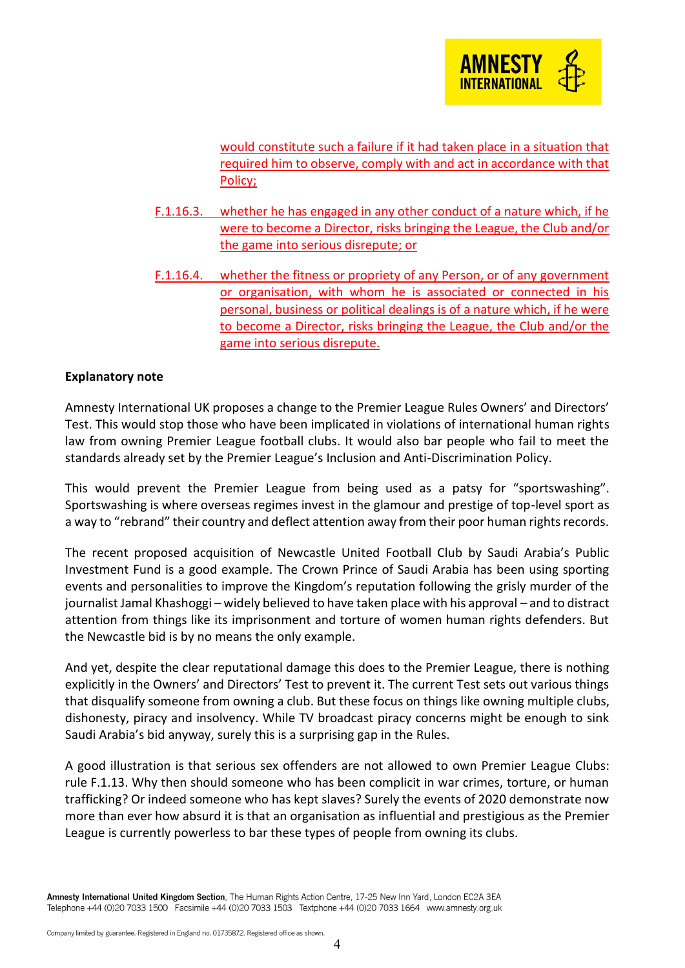

would constitute such a failure if it had taken place in a situation that required him to observe, comply with and act in accordance with that Policy;

- F.1.16.3. whether he has engaged in any other conduct of a nature which, if he were to become a Director, risks bringing the League, the Club and/or the game into serious disrepute; or
- F.1.16.4. whether the fitness or propriety of any Person, or of any government or organisation, with whom he is associated or connected in his personal, business or political dealings is of a nature which, if he were to become a Director, risks bringing the League, the Club and/or the game into serious disrepute.

### **Explanatory note**

Amnesty International UK proposes a change to the Premier League Rules Owners' and Directors' Test. This would stop those who have been implicated in violations of international human rights law from owning Premier League football clubs. It would also bar people who fail to meet the standards already set by the Premier League's Inclusion and Anti-Discrimination Policy.

This would prevent the Premier League from being used as a patsy for "sportswashing". Sportswashing is where overseas regimes invest in the glamour and prestige of top-level sport as a way to "rebrand" their country and deflect attention away from their poor human rights records.

The recent proposed acquisition of Newcastle United Football Club by Saudi Arabia's Public Investment Fund is a good example. The Crown Prince of Saudi Arabia has been using sporting events and personalities to improve the Kingdom's reputation following the grisly murder of the journalist Jamal Khashoggi – widely believed to have taken place with his approval – and to distract attention from things like its imprisonment and torture of women human rights defenders. But the Newcastle bid is by no means the only example.

And yet, despite the clear reputational damage this does to the Premier League, there is nothing explicitly in the Owners' and Directors' Test to prevent it. The current Test sets out various things that disqualify someone from owning a club. But these focus on things like owning multiple clubs, dishonesty, piracy and insolvency. While TV broadcast piracy concerns might be enough to sink Saudi Arabia's bid anyway, surely this is a surprising gap in the Rules.

A good illustration is that serious sex offenders are not allowed to own Premier League Clubs: rule F.1.13. Why then should someone who has been complicit in war crimes, torture, or human trafficking? Or indeed someone who has kept slaves? Surely the events of 2020 demonstrate now more than ever how absurd it is that an organisation as influential and prestigious as the Premier League is currently powerless to bar these types of people from owning its clubs.

Amnesty International United Kingdom Section, The Human Rights Action Centre, 17-25 New Inn Yard, London EC2A 3EA Telephone +44 (0)20 7033 1500 Facsimile +44 (0)20 7033 1503 Textphone +44 (0)20 7033 1664 www.amnesty.org.uk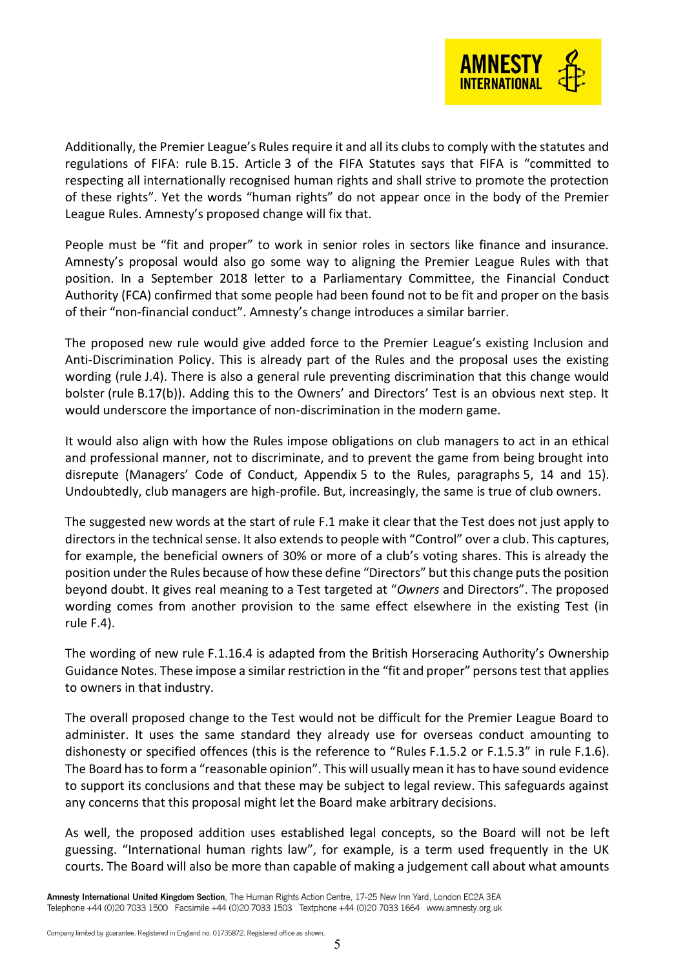

Additionally, the Premier League's Rules require it and all its clubs to comply with the statutes and regulations of FIFA: rule B.15. Article 3 of the FIFA Statutes says that FIFA is "committed to respecting all internationally recognised human rights and shall strive to promote the protection of these rights". Yet the words "human rights" do not appear once in the body of the Premier League Rules. Amnesty's proposed change will fix that.

People must be "fit and proper" to work in senior roles in sectors like finance and insurance. Amnesty's proposal would also go some way to aligning the Premier League Rules with that position. In a September 2018 letter to a Parliamentary Committee, the Financial Conduct Authority (FCA) confirmed that some people had been found not to be fit and proper on the basis of their "non-financial conduct". Amnesty's change introduces a similar barrier.

The proposed new rule would give added force to the Premier League's existing Inclusion and Anti-Discrimination Policy. This is already part of the Rules and the proposal uses the existing wording (rule J.4). There is also a general rule preventing discrimination that this change would bolster (rule B.17(b)). Adding this to the Owners' and Directors' Test is an obvious next step. It would underscore the importance of non-discrimination in the modern game.

It would also align with how the Rules impose obligations on club managers to act in an ethical and professional manner, not to discriminate, and to prevent the game from being brought into disrepute (Managers' Code of Conduct, Appendix 5 to the Rules, paragraphs 5, 14 and 15). Undoubtedly, club managers are high-profile. But, increasingly, the same is true of club owners.

The suggested new words at the start of rule F.1 make it clear that the Test does not just apply to directors in the technical sense. It also extends to people with "Control" over a club. This captures, for example, the beneficial owners of 30% or more of a club's voting shares. This is already the position under the Rules because of how these define "Directors" but this change puts the position beyond doubt. It gives real meaning to a Test targeted at "*Owners* and Directors". The proposed wording comes from another provision to the same effect elsewhere in the existing Test (in rule F.4).

The wording of new rule F.1.16.4 is adapted from the British Horseracing Authority's Ownership Guidance Notes. These impose a similar restriction in the "fit and proper" persons test that applies to owners in that industry.

The overall proposed change to the Test would not be difficult for the Premier League Board to administer. It uses the same standard they already use for overseas conduct amounting to dishonesty or specified offences (this is the reference to "Rules F.1.5.2 or F.1.5.3" in rule F.1.6). The Board has to form a "reasonable opinion". This will usually mean it has to have sound evidence to support its conclusions and that these may be subject to legal review. This safeguards against any concerns that this proposal might let the Board make arbitrary decisions.

As well, the proposed addition uses established legal concepts, so the Board will not be left guessing. "International human rights law", for example, is a term used frequently in the UK courts. The Board will also be more than capable of making a judgement call about what amounts